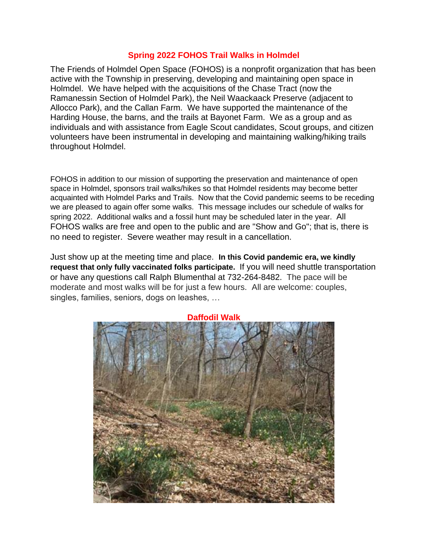## **Spring 2022 FOHOS Trail Walks in Holmdel**

The Friends of Holmdel Open Space (FOHOS) is a nonprofit organization that has been active with the Township in preserving, developing and maintaining open space in Holmdel. We have helped with the acquisitions of the Chase Tract (now the Ramanessin Section of Holmdel Park), the Neil Waackaack Preserve (adjacent to Allocco Park), and the Callan Farm. We have supported the maintenance of the Harding House, the barns, and the trails at Bayonet Farm. We as a group and as individuals and with assistance from Eagle Scout candidates, Scout groups, and citizen volunteers have been instrumental in developing and maintaining walking/hiking trails throughout Holmdel.

FOHOS in addition to our mission of supporting the preservation and maintenance of open space in Holmdel, sponsors trail walks/hikes so that Holmdel residents may become better acquainted with Holmdel Parks and Trails. Now that the Covid pandemic seems to be receding we are pleased to again offer some walks. This message includes our schedule of walks for spring 2022. Additional walks and a fossil hunt may be scheduled later in the year. All FOHOS walks are free and open to the public and are "Show and Go"; that is, there is no need to register. Severe weather may result in a cancellation.

Just show up at the meeting time and place. **In this Covid pandemic era, we kindly request that only fully vaccinated folks participate.** If you will need shuttle transportation or have any questions call Ralph Blumenthal at 732-264-8482. The pace will be moderate and most walks will be for just a few hours. All are welcome: couples, singles, families, seniors, dogs on leashes, …

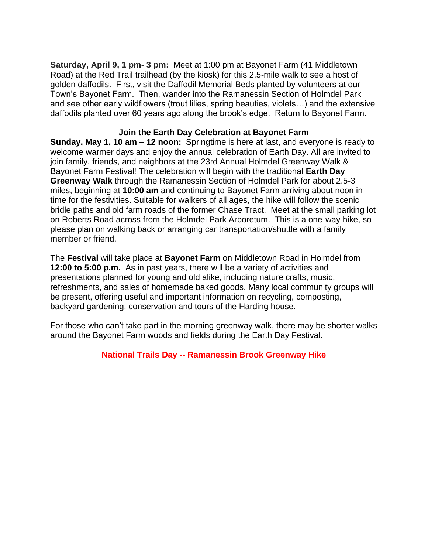**Saturday, April 9, 1 pm- 3 pm:** Meet at 1:00 pm at Bayonet Farm (41 Middletown Road) at the Red Trail trailhead (by the kiosk) for this 2.5-mile walk to see a host of golden daffodils. First, visit the Daffodil Memorial Beds planted by volunteers at our Town's Bayonet Farm. Then, wander into the Ramanessin Section of Holmdel Park and see other early wildflowers (trout lilies, spring beauties, violets…) and the extensive daffodils planted over 60 years ago along the brook's edge. Return to Bayonet Farm.

## **Join the Earth Day Celebration at Bayonet Farm**

**Sunday, May 1, 10 am – 12 noon:** Springtime is here at last, and everyone is ready to welcome warmer days and enjoy the annual celebration of Earth Day. All are invited to join family, friends, and neighbors at the 23rd Annual Holmdel Greenway Walk & Bayonet Farm Festival! The celebration will begin with the traditional **Earth Day Greenway Walk** through the Ramanessin Section of Holmdel Park for about 2.5-3 miles, beginning at **10:00 am** and continuing to Bayonet Farm arriving about noon in time for the festivities. Suitable for walkers of all ages, the hike will follow the scenic bridle paths and old farm roads of the former Chase Tract. Meet at the small parking lot on Roberts Road across from the Holmdel Park Arboretum. This is a one-way hike, so please plan on walking back or arranging car transportation/shuttle with a family member or friend.

The **Festival** will take place at **Bayonet Farm** on Middletown Road in Holmdel from **12:00 to 5:00 p.m.** As in past years, there will be a variety of activities and presentations planned for young and old alike, including nature crafts, music, refreshments, and sales of homemade baked goods. Many local community groups will be present, offering useful and important information on recycling, composting, backyard gardening, conservation and tours of the Harding house.

For those who can't take part in the morning greenway walk, there may be shorter walks around the Bayonet Farm woods and fields during the Earth Day Festival.

## **National Trails Day -- Ramanessin Brook Greenway Hike**